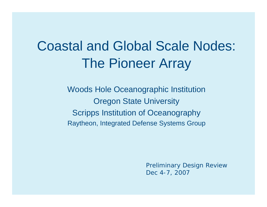# Coastal and Global Scale Nodes: The Pioneer Array

Woods Hole Oceanographic Institution Oregon State University Scripps Institution of Oceanography Raytheon, Integrated Defense Systems Group

> Preliminary Design Review Dec 4-7, 2007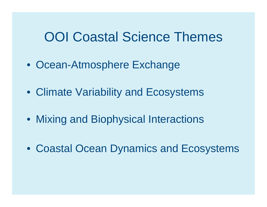### OOI Coastal Science Themes

- Ocean-Atmosphere Exchange
- Climate Variability and Ecosystems
- Mixing and Biophysical Interactions
- Coastal Ocean Dynamics and Ecosystems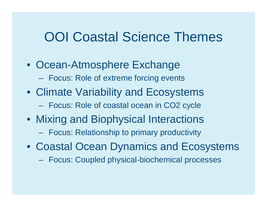### OOI Coastal Science Themes

- Ocean-Atmosphere Exchange
	- Focus: Role of extreme forcing events
- Climate Variability and Ecosystems
	- Focus: Role of coastal ocean in CO2 cycle
- Mixing and Biophysical Interactions  $\mathcal{L}_{\mathcal{A}}$ Focus: Relationship to primary productivity
- Coastal Ocean Dynamics and Ecosystems
	- Focus: Coupled physical-biochemical processes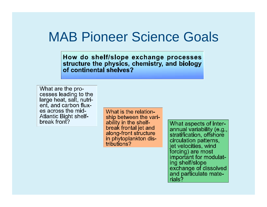### MAB Pioneer Science Goals

How do shelf/slope exchange processes structure the physics, chemistry, and biology of continental shelves?

What are the processes leading to the large heat, salt, nutrient. and carbon fluxes across the mid-**Atlantic Bight shelf**break front?

What is the relationship between the variability in the shelfbreak frontal jet and along-front structure in phytoplankton distributions?

What aspects of interannual variability (e.g., stratification, offshore circulation patterns, jet velocities, wind forcing) are most important for modulating shelf/slope exchange of dissolved and particulate materials?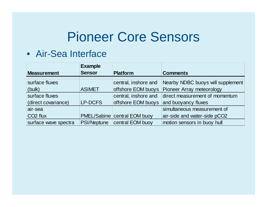#### • Air-Sea Interface

|                      | <b>Example</b> |                              |                                   |  |  |
|----------------------|----------------|------------------------------|-----------------------------------|--|--|
| <b>Measurement</b>   | <b>Sensor</b>  | <b>Platform</b>              | <b>Comments</b>                   |  |  |
| surface fluxes       |                | central, inshore and         | Nearby NDBC buoys will supplement |  |  |
| (bulk)               | <b>ASIMET</b>  | offshore EOM buoys           | Pioneer Array meteorology         |  |  |
| surface fluxes       |                | central, inshore and         | direct measurement of momentum    |  |  |
| (direct covariance)  | <b>LP-DCFS</b> | offshore EOM buoys           | and buoyancy fluxes               |  |  |
| air-sea              |                |                              | simultaneous measurement of       |  |  |
| CO <sub>2</sub> flux |                | PMEL/Sabine central EOM buoy | air-side and water-side pCO2      |  |  |
| surface wave spectra |                | PSI/Neptune central EOM buoy | motion sensors in buoy hull       |  |  |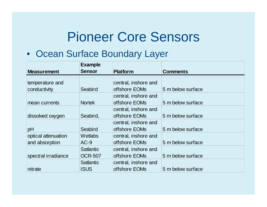#### • Ocean Surface Boundary Layer

|                     | <b>Example</b>   |                      |                   |
|---------------------|------------------|----------------------|-------------------|
| <b>Measurement</b>  | <b>Sensor</b>    | <b>Platform</b>      | <b>Comments</b>   |
|                     |                  |                      |                   |
| temperature and     |                  | central, inshore and |                   |
| conductivity        | Seabird          | offshore EOMs        | 5 m below surface |
|                     |                  | central, inshore and |                   |
| mean currents       | <b>Nortek</b>    | offshore EOMs        | 5 m below surface |
|                     |                  | central, inshore and |                   |
| dissolved oxygen    | Seabird,         | offshore EOMs        | 5 m below surface |
|                     |                  | central, inshore and |                   |
| pH                  | Seabird          | offshore EOMs        | 5 m below surface |
| optical attenuation | <b>Wetlabs</b>   | central, inshore and |                   |
| and absorption      | $AC-9$           | offshore EOMs        | 5 m below surface |
|                     | <b>Satlantic</b> | central, inshore and |                   |
| spectral irradiance | <b>OCR-507</b>   | offshore EOMs        | 5 m below surface |
|                     | <b>Satlantic</b> | central, inshore and |                   |
| nitrate             | <b>ISUS</b>      | offshore EOMs        | 5 m below surface |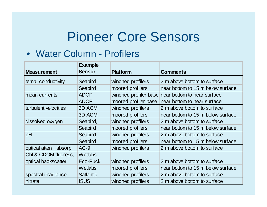#### • Water Column - Profilers

|                       | <b>Example</b>   |                                                  |                                   |  |  |
|-----------------------|------------------|--------------------------------------------------|-----------------------------------|--|--|
| <b>Measurement</b>    | <b>Sensor</b>    | <b>Platform</b>                                  | <b>Comments</b>                   |  |  |
| temp, conductivity    | Seabird          | winched profilers<br>2 m above bottom to surface |                                   |  |  |
|                       | Seabird          | moored profilers                                 | near bottom to 15 m below surface |  |  |
| mean currents         | <b>ADCP</b>      | winched profiler base                            | near bottom to near surface       |  |  |
|                       | <b>ADCP</b>      | moored profiler base                             | near bottom to near surface       |  |  |
| turbulent velocities  | 3D ACM           | winched profilers                                | 2 m above bottom to surface       |  |  |
|                       | 3D ACM           | moored profilers                                 | near bottom to 15 m below surface |  |  |
| dissolved oxygen      | Seabird,         | winched profilers                                | 2 m above bottom to surface       |  |  |
|                       | Seabird          | moored profilers                                 | near bottom to 15 m below surface |  |  |
| pH                    | Seabird          | winched profilers                                | 2 m above bottom to surface       |  |  |
|                       | Seabird          | moored profilers                                 | near bottom to 15 m below surface |  |  |
| optical atten, absorp | $AC-9$           | winched profilers                                | 2 m above bottom to surface       |  |  |
| Chl & CDOM fluoresc,  | Wetlabs          |                                                  |                                   |  |  |
| optical backscatter   | Eco-Puck         | winched profilers                                | 2 m above bottom to surface       |  |  |
|                       | Wetlabs          | moored profilers                                 | near bottom to 15 m below surface |  |  |
| spectral irradiance   | <b>Satlantic</b> | winched profilers                                | 2 m above bottom to surface       |  |  |
| nitrate               | <b>ISUS</b>      | winched profilers                                | 2 m above bottom to surface       |  |  |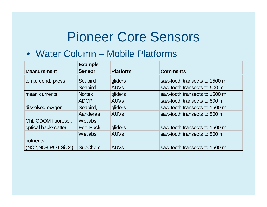#### • Water Column – Mobile Platforms

|                       | <b>Example</b> |                        |                               |
|-----------------------|----------------|------------------------|-------------------------------|
| <b>Measurement</b>    | <b>Sensor</b>  | <b>Platform</b>        | <b>Comments</b>               |
| temp, cond, press     | Seabird        | gliders                | saw-tooth transects to 1500 m |
|                       | Seabird        | <b>AUV<sub>s</sub></b> | saw-tooth transects to 500 m  |
| mean currents         | <b>Nortek</b>  | gliders                | saw-tooth transects to 1500 m |
|                       | <b>ADCP</b>    | <b>AUV<sub>s</sub></b> | saw-tooth transects to 500 m  |
| dissolved oxygen      | Seabird,       | gliders                | saw-tooth transects to 1500 m |
|                       | Aanderaa       | <b>AUV<sub>s</sub></b> | saw-tooth transects to 500 m  |
| Chl, CDOM fluoresc.,  | <b>Wetlabs</b> |                        |                               |
| optical backscatter   | Eco-Puck       | gliders                | saw-tooth transects to 1500 m |
|                       | <b>Wetlabs</b> | <b>AUV<sub>s</sub></b> | saw-tooth transects to 500 m  |
| nutrients             |                |                        |                               |
| (NO2, NO3, PO4, SiO4) | <b>SubChem</b> | <b>AUVs</b>            | saw-tooth transects to 1500 m |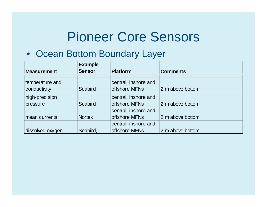#### • Ocean Bottom Boundary Layer

| <b>Measurement</b> | <b>Example</b><br><b>Sensor</b> | <b>Platform</b>      | <b>Comments</b>  |  |
|--------------------|---------------------------------|----------------------|------------------|--|
| temperature and    |                                 | central, inshore and |                  |  |
| conductivity       | Seabird                         | offshore MFNs        | 2 m above bottom |  |
| high-precision     |                                 | central, inshore and |                  |  |
| pressure           | Seabird                         | offshore MFNs        | 2 m above bottom |  |
|                    |                                 | central, inshore and |                  |  |
| mean currents      | <b>Nortek</b>                   | offshore MFNs        | 2 m above bottom |  |
|                    |                                 | central, inshore and |                  |  |
| dissolved oxygen   | Seabird,                        | offshore MFNs        | 2 m above bottom |  |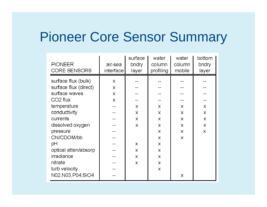### Pioneer Core Sensor Summary

| <b>PIONEER</b><br><b>CORE SENSORS</b> | air-sea<br>interface | surface<br>bndry<br>layer | water<br>column<br>profiling | water<br>column<br>mobile | bottom<br>bndry<br>layer |
|---------------------------------------|----------------------|---------------------------|------------------------------|---------------------------|--------------------------|
| surface flux (bulk)                   | X                    |                           |                              |                           |                          |
| surface flux (direct)                 | X                    |                           |                              |                           |                          |
| surface waves                         | X                    |                           |                              |                           |                          |
| CO <sub>2</sub> flux                  | X                    |                           |                              |                           |                          |
| temperature                           |                      | X                         | X                            | X                         | X                        |
| conductivity                          |                      | X                         | X                            | X                         | X                        |
| currents                              |                      | X                         | X                            | X                         | X                        |
| dissolved oxygen                      |                      | X                         | X                            | X                         | X                        |
| pressure                              |                      |                           | X                            | X                         | X                        |
| ChI/CDOM/bb                           |                      |                           | X                            | X                         |                          |
| рH                                    |                      | X.                        | X                            |                           |                          |
| optical atten/absorp                  |                      | X                         | X                            |                           |                          |
| irradiance                            |                      | X                         | X                            |                           |                          |
| nitrate                               |                      | X                         | X                            |                           |                          |
| turb velocity                         |                      |                           | X                            |                           |                          |
| N02, N03, P04, SiO4                   |                      |                           |                              | X                         |                          |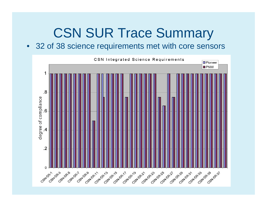## CSN SUR Trace Summary

 $\bullet$ 32 of 38 science requirements met with core sensors

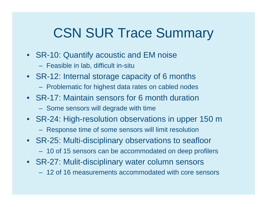## CSN SUR Trace Summary

- SR-10: Quantify acoustic and EM noise
	- Feasible in lab, difficult in-situ
- SR-12: Internal storage capacity of 6 months
	- Problematic for highest data rates on cabled nodes
- SR-17: Maintain sensors for 6 month duration
	- Some sensors will degrade with time
- SR-24: High-resolution observations in upper 150 m
	- Response time of some sensors will limit resolution
- SR-25: Multi-disciplinary observations to seafloor
	- 10 of 15 sensors can be accommodated on deep profilers
- SR-27: Mulit-disciplinary water column sensors
	- 12 of 16 measurements accommodated with core sensors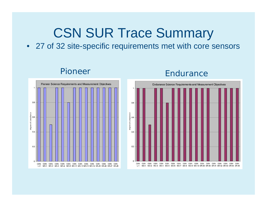## CSN SUR Trace Summary

• 27 of 32 site-specific requirements met with core sensors

#### Pioneer



### **Endurance**